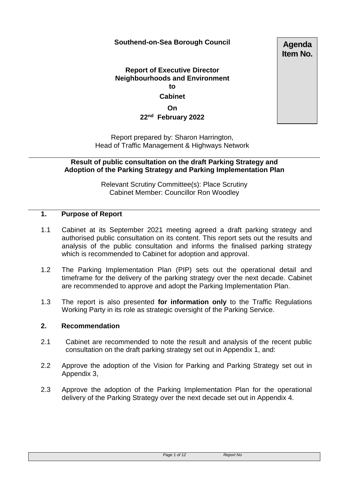# **Southend-on-Sea Borough Council**

**Agenda Item No.**

# **Report of Executive Director Neighbourhoods and Environment to Cabinet**

**On 22nd February 2022**

Report prepared by: Sharon Harrington, Head of Traffic Management & Highways Network

**Result of public consultation on the draft Parking Strategy and Adoption of the Parking Strategy and Parking Implementation Plan**

> Relevant Scrutiny Committee(s): Place Scrutiny Cabinet Member: Councillor Ron Woodley

#### **1. Purpose of Report**

- 1.1 Cabinet at its September 2021 meeting agreed a draft parking strategy and authorised public consultation on its content. This report sets out the results and analysis of the public consultation and informs the finalised parking strategy which is recommended to Cabinet for adoption and approval.
- 1.2 The Parking Implementation Plan (PIP) sets out the operational detail and timeframe for the delivery of the parking strategy over the next decade. Cabinet are recommended to approve and adopt the Parking Implementation Plan.
- 1.3 The report is also presented **for information only** to the Traffic Regulations Working Party in its role as strategic oversight of the Parking Service.

# **2. Recommendation**

- 2.1 Cabinet are recommended to note the result and analysis of the recent public consultation on the draft parking strategy set out in Appendix 1, and:
- 2.2 Approve the adoption of the Vision for Parking and Parking Strategy set out in Appendix 3,
- 2.3 Approve the adoption of the Parking Implementation Plan for the operational delivery of the Parking Strategy over the next decade set out in Appendix 4.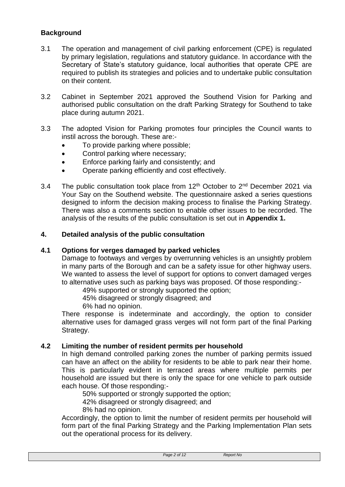# **Background**

- 3.1 The operation and management of civil parking enforcement (CPE) is regulated by primary legislation, regulations and statutory guidance. In accordance with the Secretary of State's statutory guidance, local authorities that operate CPE are required to publish its strategies and policies and to undertake public consultation on their content.
- 3.2 Cabinet in September 2021 approved the Southend Vision for Parking and authorised public consultation on the draft Parking Strategy for Southend to take place during autumn 2021.
- 3.3 The adopted Vision for Parking promotes four principles the Council wants to instil across the borough. These are:-
	- To provide parking where possible;
	- Control parking where necessary;
	- Enforce parking fairly and consistently; and
	- Operate parking efficiently and cost effectively.
- 3.4 The public consultation took place from  $12<sup>th</sup>$  October to  $2<sup>nd</sup>$  December 2021 via Your Say on the Southend website. The questionnaire asked a series questions designed to inform the decision making process to finalise the Parking Strategy. There was also a comments section to enable other issues to be recorded. The analysis of the results of the public consultation is set out in **Appendix 1.**

#### **4. Detailed analysis of the public consultation**

#### **4.1 Options for verges damaged by parked vehicles**

Damage to footways and verges by overrunning vehicles is an unsightly problem in many parts of the Borough and can be a safety issue for other highway users. We wanted to assess the level of support for options to convert damaged verges to alternative uses such as parking bays was proposed. Of those responding:-

49% supported or strongly supported the option;

45% disagreed or strongly disagreed; and

6% had no opinion.

There response is indeterminate and accordingly, the option to consider alternative uses for damaged grass verges will not form part of the final Parking Strategy.

#### **4.2 Limiting the number of resident permits per household**

In high demand controlled parking zones the number of parking permits issued can have an affect on the ability for residents to be able to park near their home. This is particularly evident in terraced areas where multiple permits per household are issued but there is only the space for one vehicle to park outside each house. Of those responding:-

50% supported or strongly supported the option;

42% disagreed or strongly disagreed; and

8% had no opinion.

Accordingly, the option to limit the number of resident permits per household will form part of the final Parking Strategy and the Parking Implementation Plan sets out the operational process for its delivery.

| Page 2 of 12 |  |
|--------------|--|
|--------------|--|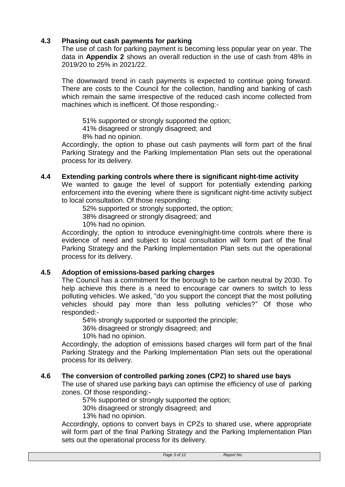# **4.3 Phasing out cash payments for parking**

The use of cash for parking payment is becoming less popular year on year. The data in **Appendix 2** shows an overall reduction in the use of cash from 48% in 2019/20 to 25% in 2021/22.

The downward trend in cash payments is expected to continue going forward. There are costs to the Council for the collection, handling and banking of cash which remain the same irrespective of the reduced cash income collected from machines which is inefficent. Of those responding:-

51% supported or strongly supported the option;

41% disagreed or strongly disagreed; and

8% had no opinion.

Accordingly, the option to phase out cash payments will form part of the final Parking Strategy and the Parking Implementation Plan sets out the operational process for its delivery.

#### **4.4 Extending parking controls where there is significant night-time activity**

We wanted to gauge the level of support for potentially extending parking enforcement into the evening where there is significant night-time activity subject to local consultation. Of those responding:

52% supported or strongly supported, the option;

38% disagreed or strongly disagreed; and

10% had no opinion.

Accordingly, the option to introduce evening/night-time controls where there is evidence of need and subject to local consultation will form part of the final Parking Strategy and the Parking Implementation Plan sets out the operational process for its delivery.

# **4.5 Adoption of emissions-based parking charges**

The Council has a commitment for the borough to be carbon neutral by 2030. To help achieve this there is a need to encourage car owners to switch to less polluting vehicles. We asked, "do you support the concept that the most polluting vehicles should pay more than less polluting vehicles?" Of those who responded:-

54% strongly supported or supported the principle;

36% disagreed or strongly disagreed; and

10% had no opinion.

Accordingly, the adoption of emissions based charges will form part of the final Parking Strategy and the Parking Implementation Plan sets out the operational process for its delivery.

#### **4.6 The conversion of controlled parking zones (CPZ) to shared use bays**

The use of shared use parking bays can optimise the efficiency of use of parking zones. Of those responding:-

57% supported or strongly supported the option;

30% disagreed or strongly disagreed; and

13% had no opinion.

Accordingly, options to convert bays in CPZs to shared use, where appropriate will form part of the final Parking Strategy and the Parking Implementation Plan sets out the operational process for its delivery.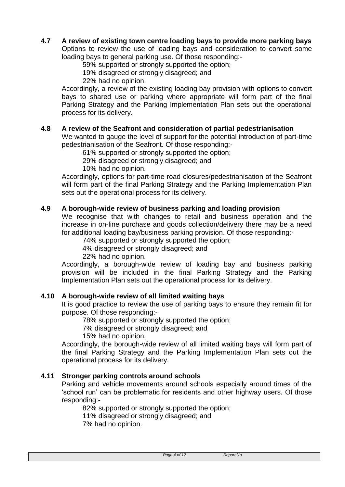# **4.7 A review of existing town centre loading bays to provide more parking bays**

Options to review the use of loading bays and consideration to convert some loading bays to general parking use. Of those responding:-

59% supported or strongly supported the option;

19% disagreed or strongly disagreed; and

22% had no opinion.

Accordingly, a review of the existing loading bay provision with options to convert bays to shared use or parking where appropriate will form part of the final Parking Strategy and the Parking Implementation Plan sets out the operational process for its delivery.

#### **4.8 A review of the Seafront and consideration of partial pedestrianisation**

We wanted to gauge the level of support for the potential introduction of part-time pedestrianisation of the Seafront. Of those responding:-

61% supported or strongly supported the option;

29% disagreed or strongly disagreed; and

10% had no opinion.

Accordingly, options for part-time road closures/pedestrianisation of the Seafront will form part of the final Parking Strategy and the Parking Implementation Plan sets out the operational process for its delivery.

## **4.9 A borough-wide review of business parking and loading provision**

We recognise that with changes to retail and business operation and the increase in on-line purchase and goods collection/delivery there may be a need for additional loading bay/business parking provision. Of those responding:-

74% supported or strongly supported the option;

4% disagreed or strongly disagreed; and

22% had no opinion.

Accordingly, a borough-wide review of loading bay and business parking provision will be included in the final Parking Strategy and the Parking Implementation Plan sets out the operational process for its delivery.

#### **4.10 A borough-wide review of all limited waiting bays**

It is good practice to review the use of parking bays to ensure they remain fit for purpose. Of those responding:-

78% supported or strongly supported the option;

7% disagreed or strongly disagreed; and

15% had no opinion.

Accordingly, the borough-wide review of all limited waiting bays will form part of the final Parking Strategy and the Parking Implementation Plan sets out the operational process for its delivery.

#### **4.11 Stronger parking controls around schools**

Parking and vehicle movements around schools especially around times of the 'school run' can be problematic for residents and other highway users. Of those responding:-

82% supported or strongly supported the option;

11% disagreed or strongly disagreed; and

7% had no opinion.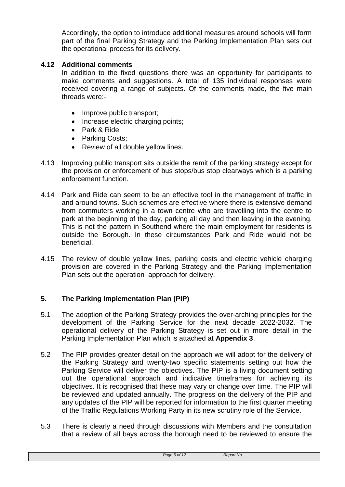Accordingly, the option to introduce additional measures around schools will form part of the final Parking Strategy and the Parking Implementation Plan sets out the operational process for its delivery.

#### **4.12 Additional comments**

In addition to the fixed questions there was an opportunity for participants to make comments and suggestions. A total of 135 individual responses were received covering a range of subjects. Of the comments made, the five main threads were:-

- Improve public transport;
- Increase electric charging points;
- Park & Ride;
- Parking Costs;
- Review of all double yellow lines.
- 4.13 Improving public transport sits outside the remit of the parking strategy except for the provision or enforcement of bus stops/bus stop clearways which is a parking enforcement function.
- 4.14 Park and Ride can seem to be an effective tool in the management of traffic in and around towns. Such schemes are effective where there is extensive demand from commuters working in a town centre who are travelling into the centre to park at the beginning of the day, parking all day and then leaving in the evening. This is not the pattern in Southend where the main employment for residents is outside the Borough. In these circumstances Park and Ride would not be beneficial.
- 4.15 The review of double yellow lines, parking costs and electric vehicle charging provision are covered in the Parking Strategy and the Parking Implementation Plan sets out the operation approach for delivery.

# **5. The Parking Implementation Plan (PIP)**

- 5.1 The adoption of the Parking Strategy provides the over-arching principles for the development of the Parking Service for the next decade 2022-2032. The operational delivery of the Parking Strategy is set out in more detail in the Parking Implementation Plan which is attached at **Appendix 3**.
- 5.2 The PIP provides greater detail on the approach we will adopt for the delivery of the Parking Strategy and twenty-two specific statements setting out how the Parking Service will deliver the objectives. The PIP is a living document setting out the operational approach and indicative timeframes for achieving its objectives. It is recognised that these may vary or change over time. The PIP will be reviewed and updated annually. The progress on the delivery of the PIP and any updates of the PIP will be reported for information to the first quarter meeting of the Traffic Regulations Working Party in its new scrutiny role of the Service.
- 5.3 There is clearly a need through discussions with Members and the consultation that a review of all bays across the borough need to be reviewed to ensure the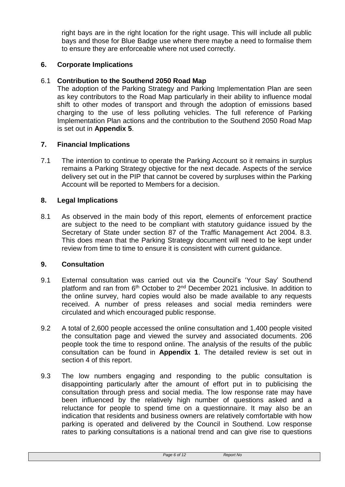right bays are in the right location for the right usage. This will include all public bays and those for Blue Badge use where there maybe a need to formalise them to ensure they are enforceable where not used correctly.

# **6. Corporate Implications**

# 6.1 **Contribution to the Southend 2050 Road Map**

The adoption of the Parking Strategy and Parking Implementation Plan are seen as key contributors to the Road Map particularly in their ability to influence modal shift to other modes of transport and through the adoption of emissions based charging to the use of less polluting vehicles. The full reference of Parking Implementation Plan actions and the contribution to the Southend 2050 Road Map is set out in **Appendix 5**.

# **7. Financial Implications**

7.1 The intention to continue to operate the Parking Account so it remains in surplus remains a Parking Strategy objective for the next decade. Aspects of the service delivery set out in the PIP that cannot be covered by surpluses within the Parking Account will be reported to Members for a decision.

#### **8. Legal Implications**

8.1 As observed in the main body of this report, elements of enforcement practice are subject to the need to be compliant with statutory guidance issued by the Secretary of State under section 87 of the Traffic Management Act 2004. 8.3. This does mean that the Parking Strategy document will need to be kept under review from time to time to ensure it is consistent with current guidance.

#### **9. Consultation**

- 9.1 External consultation was carried out via the Council's 'Your Say' Southend platform and ran from 6<sup>th</sup> October to 2<sup>nd</sup> December 2021 inclusive. In addition to the online survey, hard copies would also be made available to any requests received. A number of press releases and social media reminders were circulated and which encouraged public response.
- 9.2 A total of 2,600 people accessed the online consultation and 1,400 people visited the consultation page and viewed the survey and associated documents. 206 people took the time to respond online. The analysis of the results of the public consultation can be found in **Appendix 1**. The detailed review is set out in section 4 of this report.
- 9.3 The low numbers engaging and responding to the public consultation is disappointing particularly after the amount of effort put in to publicising the consultation through press and social media. The low response rate may have been influenced by the relatively high number of questions asked and a reluctance for people to spend time on a questionnaire. It may also be an indication that residents and business owners are relatively comfortable with how parking is operated and delivered by the Council in Southend. Low response rates to parking consultations is a national trend and can give rise to questions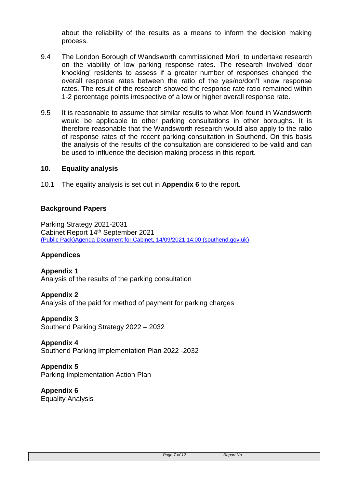about the reliability of the results as a means to inform the decision making process.

- 9.4 The London Borough of Wandsworth commissioned Mori to undertake research on the viability of low parking response rates. The research involved 'door knocking' residents to assess if a greater number of responses changed the overall response rates between the ratio of the yes/no/don't know response rates. The result of the research showed the response rate ratio remained within 1-2 percentage points irrespective of a low or higher overall response rate.
- 9.5 It is reasonable to assume that similar results to what Mori found in Wandsworth would be applicable to other parking consultations in other boroughs. It is therefore reasonable that the Wandsworth research would also apply to the ratio of response rates of the recent parking consultation in Southend. On this basis the analysis of the results of the consultation are considered to be valid and can be used to influence the decision making process in this report.

#### **10. Equality analysis**

10.1 The eqality analysis is set out in **Appendix 6** to the report.

# **Background Papers**

Parking Strategy 2021-2031 Cabinet Report 14th September 2021 [\(Public Pack\)Agenda Document for Cabinet, 14/09/2021 14:00 \(southend.gov.uk\)](https://democracy.southend.gov.uk/documents/g3912/Public%20reports%20pack%2014th-Sep-2021%2014.00%20Cabinet.pdf?T=10)

# **Appendices**

**Appendix 1** Analysis of the results of the parking consultation

**Appendix 2** Analysis of the paid for method of payment for parking charges

**Appendix 3** Southend Parking Strategy 2022 – 2032

**Appendix 4** Southend Parking Implementation Plan 2022 -2032

**Appendix 5** Parking Implementation Action Plan

**Appendix 6** Equality Analysis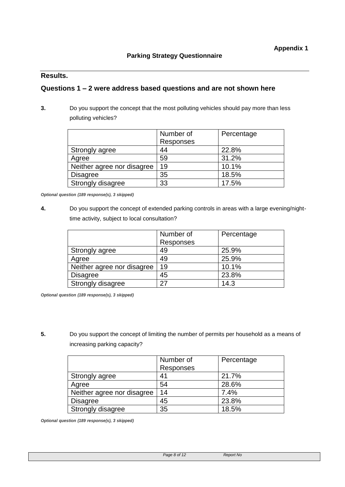# **Results.**

#### **Questions 1 – 2 were address based questions and are not shown here**

**3.** Do you support the concept that the most polluting vehicles should pay more than less polluting vehicles?

|                            | Number of | Percentage |
|----------------------------|-----------|------------|
|                            | Responses |            |
| Strongly agree             | 44        | 22.8%      |
| Agree                      | 59        | 31.2%      |
| Neither agree nor disagree | 19        | 10.1%      |
| <b>Disagree</b>            | 35        | 18.5%      |
| Strongly disagree          | 33        | 17.5%      |

*Optional question (189 response(s), 3 skipped)*

**4.** Do you support the concept of extended parking controls in areas with a large evening/nighttime activity, subject to local consultation?

|                            | Number of        | Percentage |
|----------------------------|------------------|------------|
|                            | <b>Responses</b> |            |
| Strongly agree             | 49               | 25.9%      |
| Agree                      | 49               | 25.9%      |
| Neither agree nor disagree | 19               | 10.1%      |
| <b>Disagree</b>            | 45               | 23.8%      |
| Strongly disagree          | クフ               | 14.3       |

*Optional question (189 response(s), 3 skipped)*

**5.** Do you support the concept of limiting the number of permits per household as a means of increasing parking capacity?

|                            | Number of | Percentage |
|----------------------------|-----------|------------|
|                            | Responses |            |
| Strongly agree             | 41        | 21.7%      |
| Agree                      | 54        | 28.6%      |
| Neither agree nor disagree | 14        | 7.4%       |
| <b>Disagree</b>            | 45        | 23.8%      |
| Strongly disagree          | 35        | 18.5%      |

*Optional question (189 response(s), 3 skipped)*

*Page 8 of 12 Report No*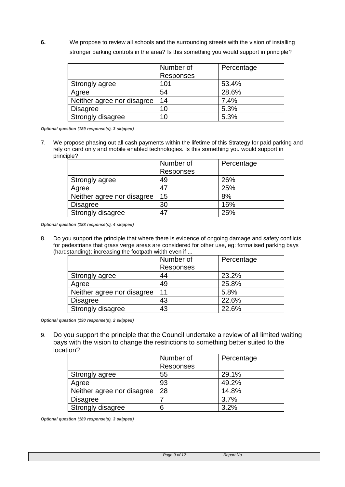**6.** We propose to review all schools and the surrounding streets with the vision of installing stronger parking controls in the area? Is this something you would support in principle?

|                            | Number of | Percentage |
|----------------------------|-----------|------------|
|                            | Responses |            |
| Strongly agree             | 101       | 53.4%      |
| Agree                      | 54        | 28.6%      |
| Neither agree nor disagree | 14        | 7.4%       |
| <b>Disagree</b>            | 10        | 5.3%       |
| Strongly disagree          | 10        | 5.3%       |

*Optional question (189 response(s), 3 skipped)*

7. We propose phasing out all cash payments within the lifetime of this Strategy for paid parking and rely on card only and mobile enabled technologies. Is this something you would support in principle?

|                            | Number of | Percentage |
|----------------------------|-----------|------------|
|                            | Responses |            |
| Strongly agree             | 49        | 26%        |
| Agree                      | 47        | 25%        |
| Neither agree nor disagree | 15        | 8%         |
| <b>Disagree</b>            | 30        | 16%        |
| Strongly disagree          | 47        | 25%        |

*Optional question (188 response(s), 4 skipped)*

8. Do you support the principle that where there is evidence of ongoing damage and safety conflicts for pedestrians that grass verge areas are considered for other use, eg: formalised parking bays (hardstanding); increasing the footpath width even if ...

|                            | Number of | Percentage |
|----------------------------|-----------|------------|
|                            | Responses |            |
| Strongly agree             | 44        | 23.2%      |
| Agree                      | 49        | 25.8%      |
| Neither agree nor disagree | 11        | 5.8%       |
| <b>Disagree</b>            | 43        | 22.6%      |
| <b>Strongly disagree</b>   | 43        | 22.6%      |

*Optional question (190 response(s), 2 skipped)*

9. Do you support the principle that the Council undertake a review of all limited waiting bays with the vision to change the restrictions to something better suited to the location?

|                            | Number of        | Percentage |
|----------------------------|------------------|------------|
|                            | <b>Responses</b> |            |
| Strongly agree             | 55               | 29.1%      |
| Agree                      | 93               | 49.2%      |
| Neither agree nor disagree | 28               | 14.8%      |
| <b>Disagree</b>            |                  | 3.7%       |
| Strongly disagree          | 6                | 3.2%       |

*Optional question (189 response(s), 3 skipped)*

*Page 9 of 12 Report No*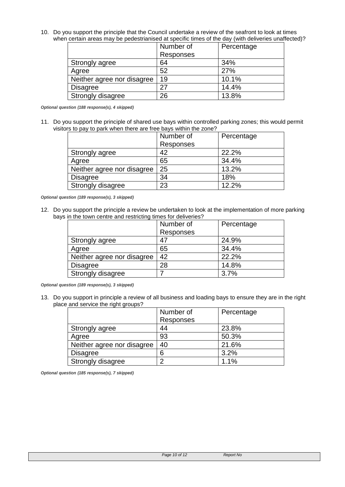10. Do you support the principle that the Council undertake a review of the seafront to look at times when certain areas may be pedestrianised at specific times of the day (with deliveries unaffected)?

|                            | Number of | Percentage |
|----------------------------|-----------|------------|
|                            | Responses |            |
| Strongly agree             | 64        | 34%        |
| Agree                      | 52        | 27%        |
| Neither agree nor disagree | 19        | 10.1%      |
| <b>Disagree</b>            | 27        | 14.4%      |
| Strongly disagree          | 26        | 13.8%      |

*Optional question (188 response(s), 4 skipped)*

11. Do you support the principle of shared use bays within controlled parking zones; this would permit visitors to pay to park when there are free bays within the zone?

|                            | Number of | Percentage |
|----------------------------|-----------|------------|
|                            | Responses |            |
| Strongly agree             | 42        | 22.2%      |
| Agree                      | 65        | 34.4%      |
| Neither agree nor disagree | 25        | 13.2%      |
| <b>Disagree</b>            | 34        | 18%        |
| Strongly disagree          | 23        | 12.2%      |

*Optional question (189 response(s), 3 skipped)*

12. Do you support the principle a review be undertaken to look at the implementation of more parking bays in the town centre and restricting times for deliveries?

|                            | Number of | Percentage |
|----------------------------|-----------|------------|
|                            | Responses |            |
| Strongly agree             | 47        | 24.9%      |
| Agree                      | 65        | 34.4%      |
| Neither agree nor disagree | 42        | 22.2%      |
| <b>Disagree</b>            | 28        | 14.8%      |
| Strongly disagree          |           | 3.7%       |

*Optional question (189 response(s), 3 skipped)*

13. Do you support in principle a review of all business and loading bays to ensure they are in the right place and service the right groups?

|                            | Number of | Percentage |
|----------------------------|-----------|------------|
|                            | Responses |            |
| Strongly agree             | 44        | 23.8%      |
| Agree                      | 93        | 50.3%      |
| Neither agree nor disagree | 40        | 21.6%      |
| <b>Disagree</b>            | 6         | 3.2%       |
| Strongly disagree          | າ         | 1.1%       |

*Optional question (185 response(s), 7 skipped)*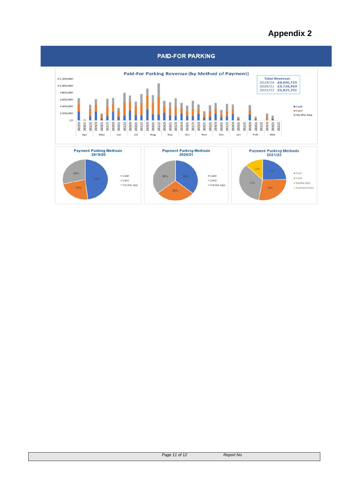# **Appendix 2**